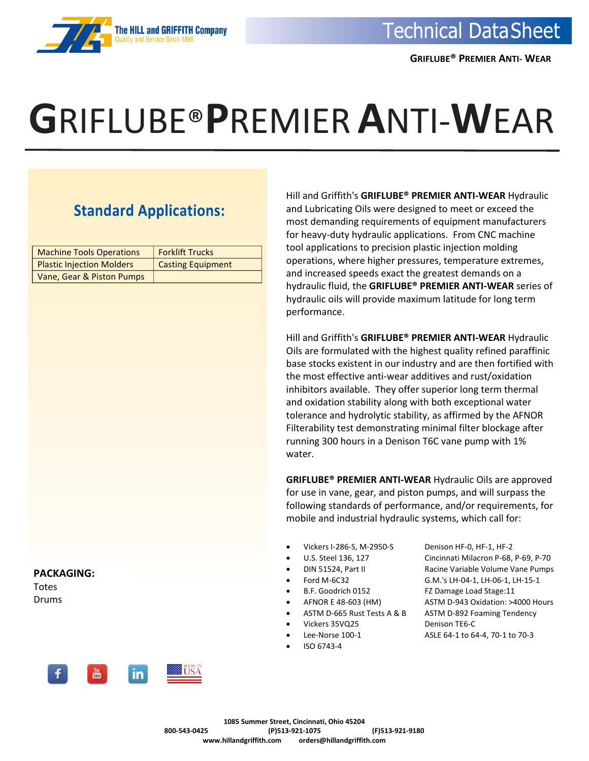

## **G**RIFLUBE®**P**REMIER**A**NTI-**W**EAR

## **Standard Applications:**

| <b>Machine Tools Operations</b>  | <b>Forklift Trucks</b>   |  |
|----------------------------------|--------------------------|--|
| <b>Plastic Injection Molders</b> | <b>Casting Equipment</b> |  |
| Vane, Gear & Piston Pumps        |                          |  |

Hill and Griffith's **GRIFLUBE® PREMIER ANTI-WEAR** Hydraulic and Lubricating Oils were designed to meet or exceed the most demanding requirements of equipment manufacturers for heavy-duty hydraulic applications. From CNC machine tool applications to precision plastic injection molding operations, where higher pressures, temperature extremes, and increased speeds exact the greatest demands on a hydraulic fluid, the **GRIFLUBE® PREMIER ANTI-WEAR** series of hydraulic oils will provide maximum latitude for long term performance.

Hill and Griffith's **GRIFLUBE® PREMIER ANTI-WEAR** Hydraulic Oils are formulated with the highest quality refined paraffinic base stocks existent in our industry and are then fortified with the most effective anti-wear additives and rust/oxidation inhibitors available. They offer superior long term thermal and oxidation stability along with both exceptional water tolerance and hydrolytic stability, as affirmed by the AFNOR Filterability test demonstrating minimal filter blockage after running 300 hours in a Denison T6C vane pump with 1% water.

**GRIFLUBE® PREMIER ANTI-WEAR** Hydraulic Oils are approved for use in vane, gear, and piston pumps, and will surpass the following standards of performance, and/or requirements, for mobile and industrial hydraulic systems, which call for:

- Vickers I-286-S, M-2950-S Denison HF-0, HF-1, HF-2
- 
- 
- 
- 
- 
- 
- 
- 
- ISO 6743-4

• U.S. Steel 136, 127 Cincinnati Milacron P-68, P-69, P-70 • DIN 51524, Part II Racine Variable Volume Vane Pumps • Ford M-6C32 G.M.'s LH-04-1, LH-06-1, LH-15-1 • B.F. Goodrich 0152 FZ Damage Load Stage:11 • AFNOR E 48-603 (HM) ASTM D-943 Oxidation: >4000 Hours ASTM D-665 Rust Tests A & B ASTM D-892 Foaming Tendency • Vickers 35VQ25 Denison TE6-C • Lee-Norse 100-1 ASLE 64-1 to 64-4, 70-1 to 70-3



**PACKAGING:**

Totes Drums